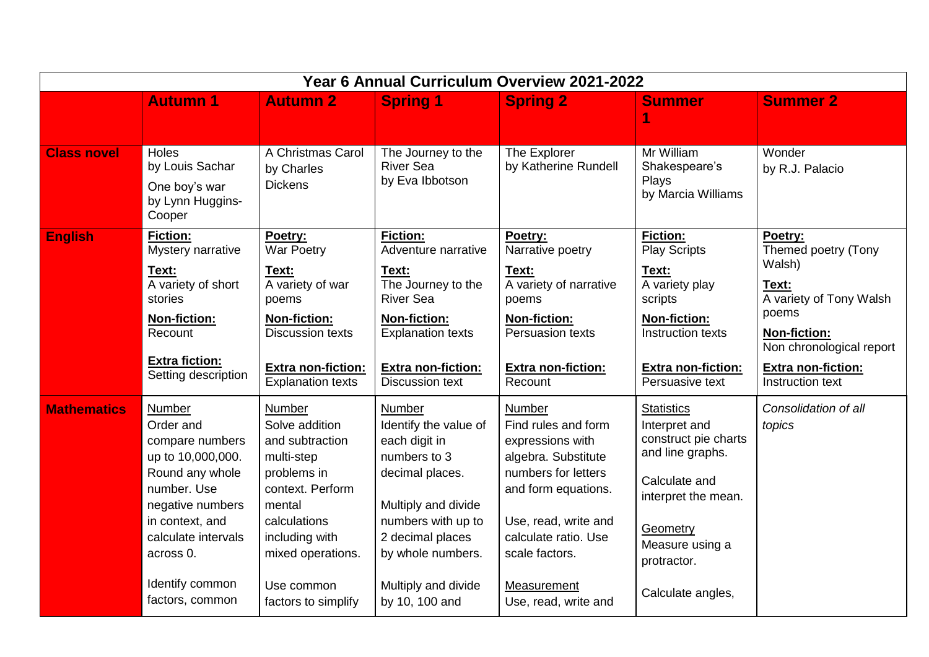| Year 6 Annual Curriculum Overview 2021-2022 |                                                                                                                                                                                                                       |                                                                                                                                                                                                           |                                                                                                                                                                                                                           |                                                                                                                                                                                                                                               |                                                                                                                                                                                           |                                                                                                                                                                                    |  |
|---------------------------------------------|-----------------------------------------------------------------------------------------------------------------------------------------------------------------------------------------------------------------------|-----------------------------------------------------------------------------------------------------------------------------------------------------------------------------------------------------------|---------------------------------------------------------------------------------------------------------------------------------------------------------------------------------------------------------------------------|-----------------------------------------------------------------------------------------------------------------------------------------------------------------------------------------------------------------------------------------------|-------------------------------------------------------------------------------------------------------------------------------------------------------------------------------------------|------------------------------------------------------------------------------------------------------------------------------------------------------------------------------------|--|
|                                             | <b>Autumn 1</b>                                                                                                                                                                                                       | <b>Autumn 2</b>                                                                                                                                                                                           | <b>Spring 1</b>                                                                                                                                                                                                           | <b>Spring 2</b>                                                                                                                                                                                                                               | <b>Summer</b>                                                                                                                                                                             | <b>Summer 2</b>                                                                                                                                                                    |  |
| <b>Class novel</b>                          | Holes<br>by Louis Sachar<br>One boy's war<br>by Lynn Huggins-<br>Cooper                                                                                                                                               | A Christmas Carol<br>by Charles<br><b>Dickens</b>                                                                                                                                                         | The Journey to the<br><b>River Sea</b><br>by Eva Ibbotson                                                                                                                                                                 | The Explorer<br>by Katherine Rundell                                                                                                                                                                                                          | Mr William<br>Shakespeare's<br>Plays<br>by Marcia Williams                                                                                                                                | Wonder<br>by R.J. Palacio                                                                                                                                                          |  |
| <b>English</b>                              | <b>Fiction:</b><br>Mystery narrative<br>Text:<br>A variety of short<br>stories<br>Non-fiction:<br>Recount<br><b>Extra fiction:</b><br>Setting description                                                             | Poetry:<br><b>War Poetry</b><br>Text:<br>A variety of war<br>poems<br>Non-fiction:<br><b>Discussion texts</b><br><b>Extra non-fiction:</b><br><b>Explanation texts</b>                                    | <b>Fiction:</b><br>Adventure narrative<br>Text:<br>The Journey to the<br><b>River Sea</b><br>Non-fiction:<br><b>Explanation texts</b><br><b>Extra non-fiction:</b><br><b>Discussion text</b>                              | Poetry:<br>Narrative poetry<br>Text:<br>A variety of narrative<br>poems<br><b>Non-fiction:</b><br><b>Persuasion texts</b><br><b>Extra non-fiction:</b><br>Recount                                                                             | <b>Fiction:</b><br><b>Play Scripts</b><br>Text:<br>A variety play<br>scripts<br><b>Non-fiction:</b><br>Instruction texts<br><b>Extra non-fiction:</b><br>Persuasive text                  | Poetry:<br>Themed poetry (Tony<br>Walsh)<br>Text:<br>A variety of Tony Walsh<br>poems<br><b>Non-fiction:</b><br>Non chronological report<br>Extra non-fiction:<br>Instruction text |  |
| <b>Mathematics</b>                          | <b>Number</b><br>Order and<br>compare numbers<br>up to 10,000,000.<br>Round any whole<br>number. Use<br>negative numbers<br>in context, and<br>calculate intervals<br>across 0.<br>Identify common<br>factors, common | <b>Number</b><br>Solve addition<br>and subtraction<br>multi-step<br>problems in<br>context. Perform<br>mental<br>calculations<br>including with<br>mixed operations.<br>Use common<br>factors to simplify | <b>Number</b><br>Identify the value of<br>each digit in<br>numbers to 3<br>decimal places.<br>Multiply and divide<br>numbers with up to<br>2 decimal places<br>by whole numbers.<br>Multiply and divide<br>by 10, 100 and | <b>Number</b><br>Find rules and form<br>expressions with<br>algebra. Substitute<br>numbers for letters<br>and form equations.<br>Use, read, write and<br>calculate ratio. Use<br>scale factors.<br><b>Measurement</b><br>Use, read, write and | <b>Statistics</b><br>Interpret and<br>construct pie charts<br>and line graphs.<br>Calculate and<br>interpret the mean.<br>Geometry<br>Measure using a<br>protractor.<br>Calculate angles, | Consolidation of all<br>topics                                                                                                                                                     |  |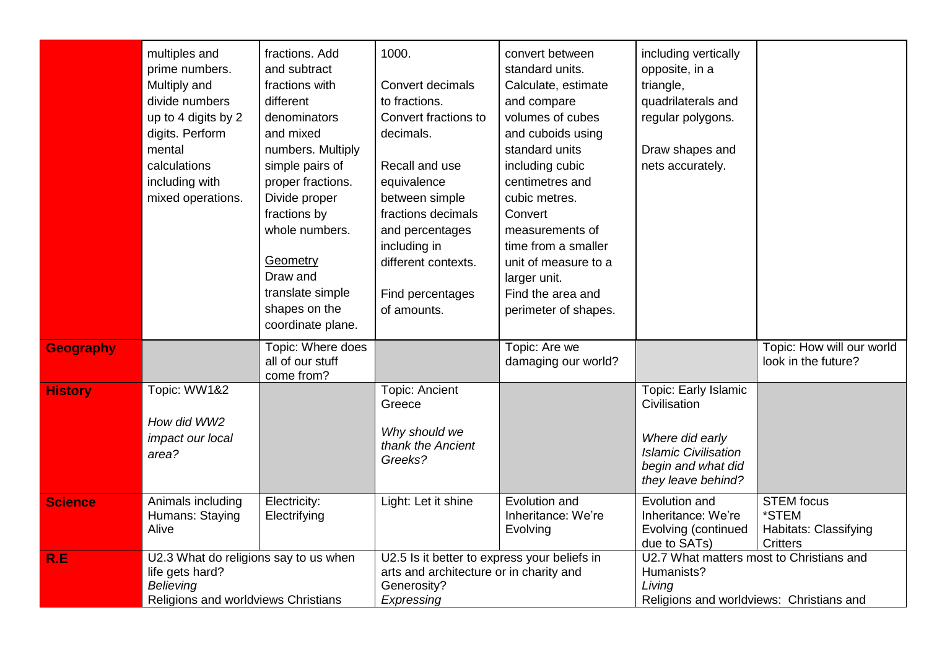|                  | multiples and<br>prime numbers.<br>Multiply and<br>divide numbers<br>up to 4 digits by 2<br>digits. Perform<br>mental<br>calculations<br>including with | fractions. Add<br>and subtract<br>fractions with<br>different<br>denominators<br>and mixed<br>numbers. Multiply<br>simple pairs of<br>proper fractions. | 1000.<br>Convert decimals<br>to fractions.<br>Convert fractions to<br>decimals.<br>Recall and use<br>equivalence                  | convert between<br>standard units.<br>Calculate, estimate<br>and compare<br>volumes of cubes<br>and cuboids using<br>standard units<br>including cubic<br>centimetres and | including vertically<br>opposite, in a<br>triangle,<br>quadrilaterals and<br>regular polygons.<br>Draw shapes and<br>nets accurately. |                                                                        |
|------------------|---------------------------------------------------------------------------------------------------------------------------------------------------------|---------------------------------------------------------------------------------------------------------------------------------------------------------|-----------------------------------------------------------------------------------------------------------------------------------|---------------------------------------------------------------------------------------------------------------------------------------------------------------------------|---------------------------------------------------------------------------------------------------------------------------------------|------------------------------------------------------------------------|
|                  | mixed operations.                                                                                                                                       | Divide proper<br>fractions by<br>whole numbers.<br>Geometry<br>Draw and<br>translate simple<br>shapes on the<br>coordinate plane.                       | between simple<br>fractions decimals<br>and percentages<br>including in<br>different contexts.<br>Find percentages<br>of amounts. | cubic metres.<br>Convert<br>measurements of<br>time from a smaller<br>unit of measure to a<br>larger unit.<br>Find the area and<br>perimeter of shapes.                   |                                                                                                                                       |                                                                        |
| <b>Geography</b> |                                                                                                                                                         | Topic: Where does<br>all of our stuff<br>come from?                                                                                                     |                                                                                                                                   | Topic: Are we<br>damaging our world?                                                                                                                                      |                                                                                                                                       | Topic: How will our world<br>look in the future?                       |
| <b>History</b>   | Topic: WW1&2<br>How did WW2<br>impact our local<br>area?                                                                                                |                                                                                                                                                         | <b>Topic: Ancient</b><br>Greece<br>Why should we<br>thank the Ancient<br>Greeks?                                                  |                                                                                                                                                                           | Topic: Early Islamic<br>Civilisation<br>Where did early<br><b>Islamic Civilisation</b><br>begin and what did<br>they leave behind?    |                                                                        |
| <b>Science</b>   | Animals including<br>Humans: Staying<br>Alive                                                                                                           | Electricity:<br>Electrifying                                                                                                                            | Light: Let it shine                                                                                                               | Evolution and<br>Inheritance: We're<br>Evolving                                                                                                                           | Evolution and<br>Inheritance: We're<br>Evolving (continued<br>due to SATs)                                                            | <b>STEM</b> focus<br>*STEM<br>Habitats: Classifying<br><b>Critters</b> |
| R.E              | U2.3 What do religions say to us when<br>life gets hard?<br>Believing<br>Religions and worldviews Christians                                            |                                                                                                                                                         | U2.5 Is it better to express your beliefs in<br>arts and architecture or in charity and<br>Generosity?<br>Expressing              |                                                                                                                                                                           | U2.7 What matters most to Christians and<br>Humanists?<br>Living<br>Religions and worldviews: Christians and                          |                                                                        |